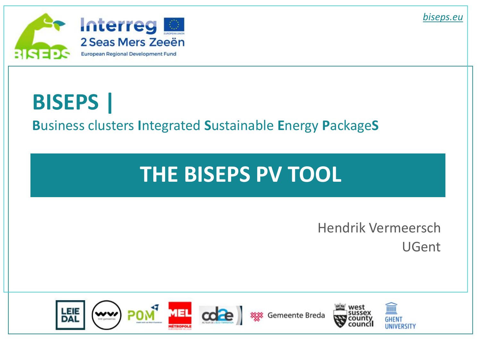



# **BISEPS | B**usiness clusters **I**ntegrated **S**ustainable **E**nergy **P**ackage**S**

# **THE BISEPS PV TOOL**

Hendrik Vermeersch UGent

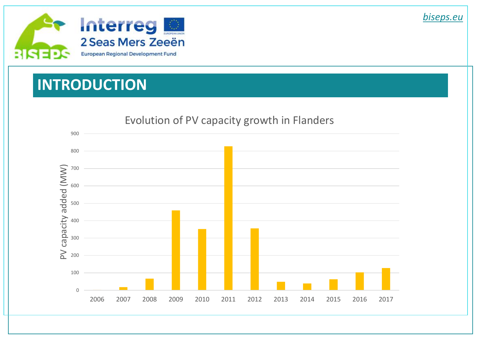

### **INTRODUCTION**



#### Evolution of PV capacity growth in Flanders

*biseps.eu*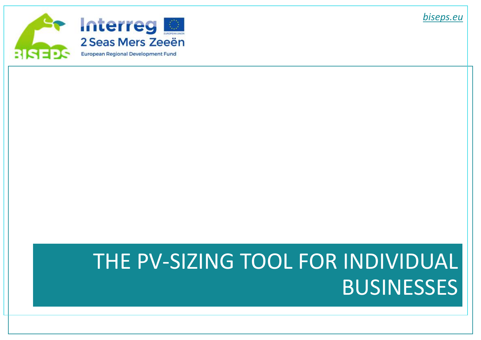

# THE PV-SIZING TOOL FOR INDIVIDUAL **BUSINESSES**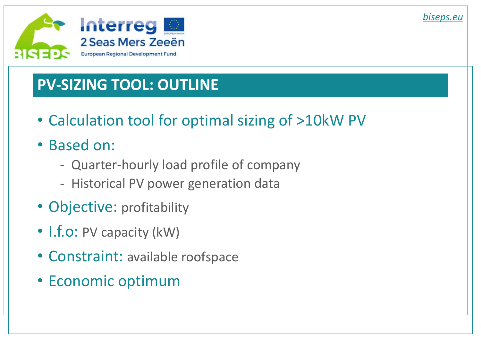

# **PV-SIZING TOOL: OUTLINE**

- Calculation tool for optimal sizing of >10kW PV
- Based on:
	- Quarter-hourly load profile of company
	- Historical PV power generation data
- Objective: profitability
- I.f.o: PV capacity (kW)
- Constraint: available roofspace
- Economic optimum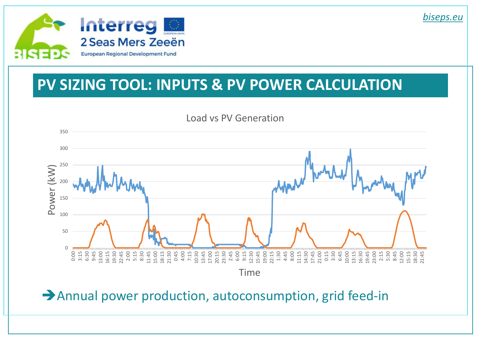

#### **PV SIZING TOOL: INPUTS & PV POWER CALCULATION**



Annual power production, autoconsumption, grid feed-in

*biseps.eu*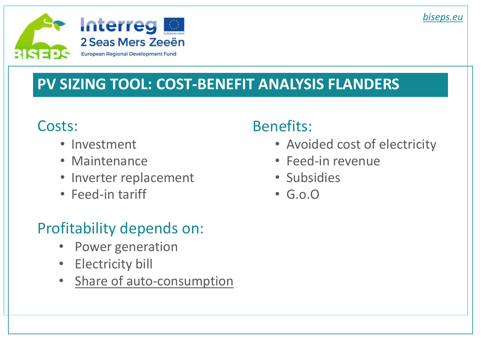

## **PV SIZING TOOL: COST-BENEFIT ANALYSIS FLANDERS**

#### Costs:

- Investment
- Maintenance
- Inverter replacement
- Feed-in tariff

# Profitability depends on:

- Power generation
- Electricity bill
- Share of auto-consumption

#### Benefits:

- Avoided cost of electricity
- Feed-in revenue
- Subsidies
- G.o.O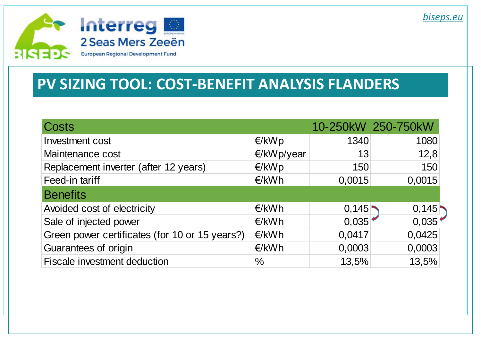

#### **PV SIZING TOOL: COST-BENEFIT ANALYSIS FLANDERS**

| Costs                                          |            |        | 10-250kW 250-750kW |
|------------------------------------------------|------------|--------|--------------------|
| Investment cost                                | E/KWD      | 1340   | 1080               |
| Maintenance cost                               | E/KWp/year | 13     | 12,8               |
| Replacement inverter (after 12 years)          | E/KWD      | 150    | 150                |
| Feed-in tariff                                 | €/kWh      | 0,0015 | 0,0015             |
| <b>Benefits</b>                                |            |        |                    |
| Avoided cost of electricity                    | E/KWh      | 0,145  | 0,145              |
| Sale of injected power                         | E/KWh      | 0,035  | 0,035              |
| Green power certificates (for 10 or 15 years?) | €/kWh      | 0,0417 | 0,0425             |
| Guarantees of origin                           | E/KWh      | 0,0003 | 0,0003             |
| <b>Fiscale investment deduction</b>            | $\%$       | 13,5%  | 13,5%              |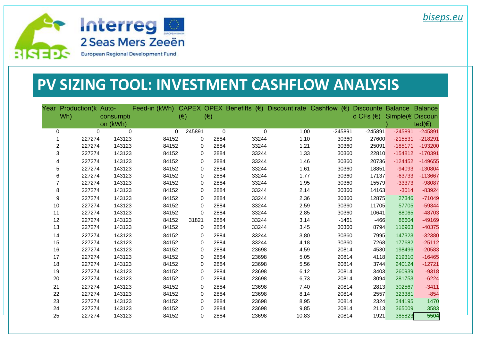

#### **PV SIZING TOOL: INVESTMENT CASHFLOW ANALYSIS**

| Year           | Production(k Auto- |                         | Feed-in (kWh) |              |              |       | CAPEX OPEX Benefifts $(\epsilon)$ Discount rate Cashflow $(\epsilon)$ |           | Discounte Balance Balance |                  |                   |
|----------------|--------------------|-------------------------|---------------|--------------|--------------|-------|-----------------------------------------------------------------------|-----------|---------------------------|------------------|-------------------|
|                | Wh)                | consumpti               |               | $(\epsilon)$ | $(\epsilon)$ |       |                                                                       |           | d CFs $(\epsilon)$        | Simple(€ Discoun |                   |
|                |                    | on (kWh)                |               |              |              |       |                                                                       |           |                           |                  | ted( $\epsilon$ ) |
| 0              |                    | $\Omega$<br>$\mathbf 0$ | 0             | 245891       | $\pmb{0}$    | 0     | 1,00                                                                  | $-245891$ | $-245891$                 | $-245891$        | $-245891$         |
| 1              | 227274             | 143123                  | 84152         | 0            | 2884         | 33244 | 1,10                                                                  | 30360     | 27600                     | $-215531$        | $-218291$         |
| $\overline{c}$ | 227274             | 143123                  | 84152         | 0            | 2884         | 33244 | 1,21                                                                  | 30360     | 25091                     | $-185171$        | $-193200$         |
| 3              | 227274             | 143123                  | 84152         | 0            | 2884         | 33244 | 1,33                                                                  | 30360     | 22810                     | $-154812$        | $-170391$         |
| 4              | 227274             | 143123                  | 84152         | 0            | 2884         | 33244 | 1,46                                                                  | 30360     | 20736                     | $-124452$        | $-149655$         |
| 5              | 227274             | 143123                  | 84152         | 0            | 2884         | 33244 | 1,61                                                                  | 30360     | 18851                     | $-94093$         | $-130804$         |
| 6              | 227274             | 143123                  | 84152         | 0            | 2884         | 33244 | 1,77                                                                  | 30360     | 17137                     | $-63733$         | $-113667$         |
| $\overline{7}$ | 227274             | 143123                  | 84152         | 0            | 2884         | 33244 | 1,95                                                                  | 30360     | 15579                     | $-33373$         | -98087            |
| 8              | 227274             | 143123                  | 84152         | 0            | 2884         | 33244 | 2,14                                                                  | 30360     | 14163                     | $-3014$          | $-83924$          |
| 9              | 227274             | 143123                  | 84152         | 0            | 2884         | 33244 | 2,36                                                                  | 30360     | 12875                     | 27346            | $-71049$          |
| 10             | 227274             | 143123                  | 84152         | 0            | 2884         | 33244 | 2,59                                                                  | 30360     | 11705                     | 57705            | $-59344$          |
| 11             | 227274             | 143123                  | 84152         | 0            | 2884         | 33244 | 2,85                                                                  | 30360     | 10641                     | 88065            | -48703            |
| 12             | 227274             | 143123                  | 84152         | 31821        | 2884         | 33244 | 3,14                                                                  | $-1461$   | $-466$                    | 86604            | -49169            |
| 13             | 227274             | 143123                  | 84152         | 0            | 2884         | 33244 | 3,45                                                                  | 30360     | 8794                      | 116963           | $-40375$          |
| 14             | 227274             | 143123                  | 84152         | 0            | 2884         | 33244 | 3,80                                                                  | 30360     | 7995                      | 147323           | $-32380$          |
| 15             | 227274             | 143123                  | 84152         | 0            | 2884         | 33244 | 4,18                                                                  | 30360     | 7268                      | 177682           | $-25112$          |
| 16             | 227274             | 143123                  | 84152         | 0            | 2884         | 23698 | 4,59                                                                  | 20814     | 4530                      | 198496           | $-20583$          |
| 17             | 227274             | 143123                  | 84152         | 0            | 2884         | 23698 | 5,05                                                                  | 20814     | 4118                      | 219310           | $-16465$          |
| 18             | 227274             | 143123                  | 84152         | 0            | 2884         | 23698 | 5,56                                                                  | 20814     | 3744                      | 240124           | $-12721$          |
| 19             | 227274             | 143123                  | 84152         | 0            | 2884         | 23698 | 6,12                                                                  | 20814     | 3403                      | 260939           | $-9318$           |
| 20             | 227274             | 143123                  | 84152         | 0            | 2884         | 23698 | 6,73                                                                  | 20814     | 3094                      | 281753           | $-6224$           |
| 21             | 227274             | 143123                  | 84152         | 0            | 2884         | 23698 | 7,40                                                                  | 20814     | 2813                      | 302567           | $-3411$           |
| 22             | 227274             | 143123                  | 84152         | 0            | 2884         | 23698 | 8,14                                                                  | 20814     | 2557                      | 323381           | $-854$            |
| 23             | 227274             | 143123                  | 84152         | 0            | 2884         | 23698 | 8,95                                                                  | 20814     | 2324                      | 344195           | 1470              |
| 24             | 227274             | 143123                  | 84152         | 0            | 2884         | 23698 | 9,85                                                                  | 20814     | 2113                      | 365009           | 3583              |
| $25 -$         | 227274             | 143123                  | 84152         | 0            | 2884         | 23698 | 10.83                                                                 | 20814     | 1921                      | 385823           | 5504              |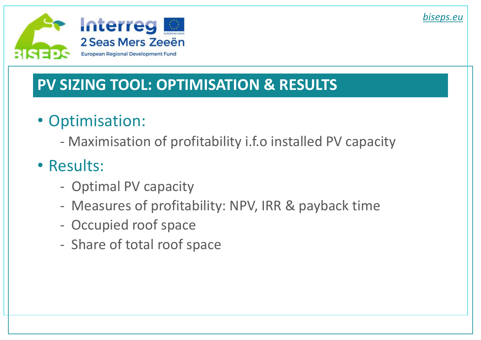

### **PV SIZING TOOL: OPTIMISATION & RESULTS**

# • Optimisation:

- Maximisation of profitability i.f.o installed PV capacity

# • Results:

- Optimal PV capacity
- Measures of profitability: NPV, IRR & payback time
- Occupied roof space
- Share of total roof space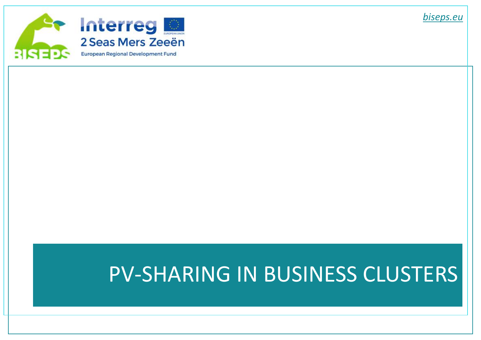

# PV-SHARING IN BUSINESS CLUSTERS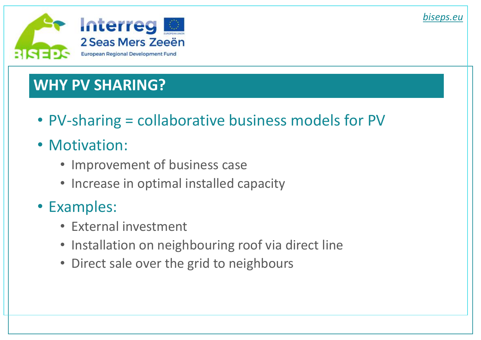

### **WHY PV SHARING?**

- PV-sharing = collaborative business models for PV
- Motivation:
	- Improvement of business case
	- Increase in optimal installed capacity

### • Examples:

- External investment
- Installation on neighbouring roof via direct line
- Direct sale over the grid to neighbours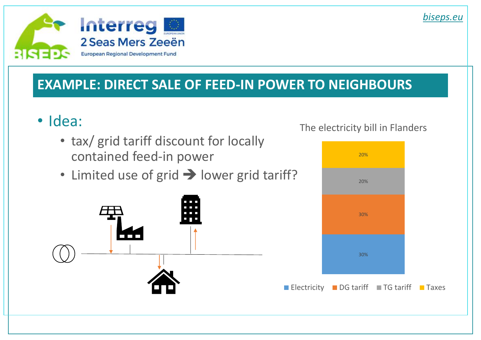

#### **EXAMPLE: DIRECT SALE OF FEED-IN POWER TO NEIGHBOURS**

- Idea:
	- tax/ grid tariff discount for locally contained feed-in power
	- Limited use of grid  $\rightarrow$  lower grid tariff?



#### The electricity bill in Flanders